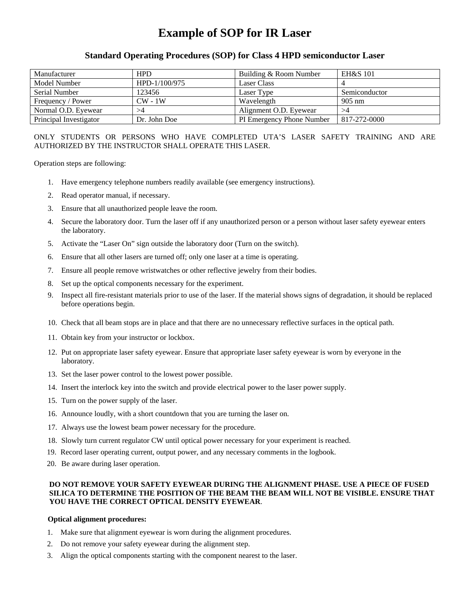# **Example of SOP for IR Laser**

## **Standard Operating Procedures (SOP) for Class 4 HPD semiconductor Laser**

| Manufacturer           | <b>HPD</b>    | Building & Room Number    | <b>EH&amp;S 101</b> |
|------------------------|---------------|---------------------------|---------------------|
| Model Number           | HPD-1/100/975 | <b>Laser Class</b>        |                     |
| Serial Number          | 123456        | Laser Type                | Semiconductor       |
| Frequency / Power      | $CW - 1W$     | Wavelength                | $905 \text{ nm}$    |
| Normal O.D. Eyewear    | >4            | Alignment O.D. Eyewear    | >4                  |
| Principal Investigator | Dr. John Doe  | PI Emergency Phone Number | 817-272-0000        |

## ONLY STUDENTS OR PERSONS WHO HAVE COMPLETED UTA'S LASER SAFETY TRAINING AND ARE AUTHORIZED BY THE INSTRUCTOR SHALL OPERATE THIS LASER.

Operation steps are following:

- 1. Have emergency telephone numbers readily available (see emergency instructions).
- 2. Read operator manual, if necessary.
- 3. Ensure that all unauthorized people leave the room.
- 4. Secure the laboratory door. Turn the laser off if any unauthorized person or a person without laser safety eyewear enters the laboratory.
- 5. Activate the "Laser On" sign outside the laboratory door (Turn on the switch).
- 6. Ensure that all other lasers are turned off; only one laser at a time is operating.
- 7. Ensure all people remove wristwatches or other reflective jewelry from their bodies.
- 8. Set up the optical components necessary for the experiment.
- 9. Inspect all fire-resistant materials prior to use of the laser. If the material shows signs of degradation, it should be replaced before operations begin.
- 10. Check that all beam stops are in place and that there are no unnecessary reflective surfaces in the optical path.
- 11. Obtain key from your instructor or lockbox.
- 12. Put on appropriate laser safety eyewear. Ensure that appropriate laser safety eyewear is worn by everyone in the laboratory.
- 13. Set the laser power control to the lowest power possible.
- 14. Insert the interlock key into the switch and provide electrical power to the laser power supply.
- 15. Turn on the power supply of the laser.
- 16. Announce loudly, with a short countdown that you are turning the laser on.
- 17. Always use the lowest beam power necessary for the procedure.
- 18. Slowly turn current regulator CW until optical power necessary for your experiment is reached.
- 19. Record laser operating current, output power, and any necessary comments in the logbook.
- 20. Be aware during laser operation.

## **DO NOT REMOVE YOUR SAFETY EYEWEAR DURING THE ALIGNMENT PHASE. USE A PIECE OF FUSED SILICA TO DETERMINE THE POSITION OF THE BEAM THE BEAM WILL NOT BE VISIBLE. ENSURE THAT YOU HAVE THE CORRECT OPTICAL DENSITY EYEWEAR**.

#### **Optical alignment procedures:**

- 1. Make sure that alignment eyewear is worn during the alignment procedures.
- 2. Do not remove your safety eyewear during the alignment step.
- 3. Align the optical components starting with the component nearest to the laser.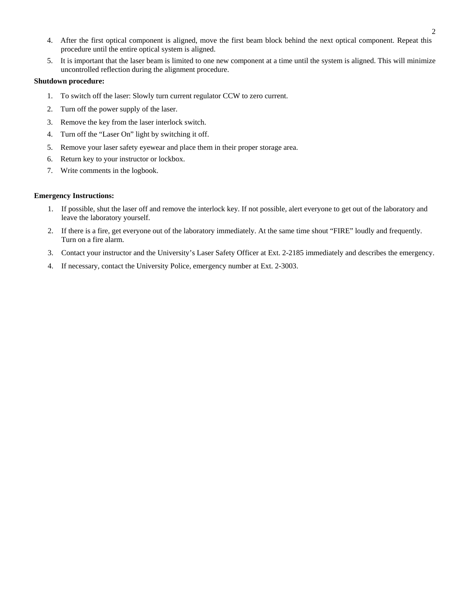- 4. After the first optical component is aligned, move the first beam block behind the next optical component. Repeat this procedure until the entire optical system is aligned.
- 5. It is important that the laser beam is limited to one new component at a time until the system is aligned. This will minimize uncontrolled reflection during the alignment procedure.

#### **Shutdown procedure:**

- 1. To switch off the laser: Slowly turn current regulator CCW to zero current.
- 2. Turn off the power supply of the laser.
- 3. Remove the key from the laser interlock switch.
- 4. Turn off the "Laser On" light by switching it off.
- 5. Remove your laser safety eyewear and place them in their proper storage area.
- 6. Return key to your instructor or lockbox.
- 7. Write comments in the logbook.

#### **Emergency Instructions:**

- 1. If possible, shut the laser off and remove the interlock key. If not possible, alert everyone to get out of the laboratory and leave the laboratory yourself.
- 2. If there is a fire, get everyone out of the laboratory immediately. At the same time shout "FIRE" loudly and frequently. Turn on a fire alarm.
- 3. Contact your instructor and the University's Laser Safety Officer at Ext. 2-2185 immediately and describes the emergency.
- 4. If necessary, contact the University Police, emergency number at Ext. 2-3003.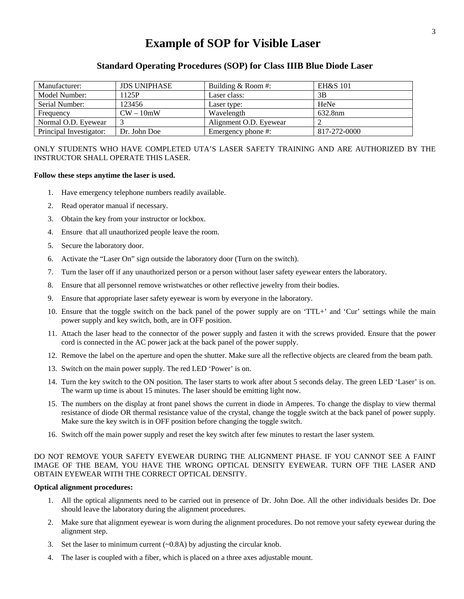## **Example of SOP for Visible Laser**

## **Standard Operating Procedures (SOP) for Class IIIB Blue Diode Laser**

| Manufacturer:           | <b>JDS UNIPHASE</b> | Building & Room #:     | <b>EH&amp;S 101</b> |
|-------------------------|---------------------|------------------------|---------------------|
| Model Number:           | 1125P               | Laser class:           | 3B                  |
| Serial Number:          | 123456              | Laser type:            | HeNe                |
| Frequency               | $CW - 10mW$         | Wavelength             | 632.8nm             |
| Normal O.D. Eyewear     |                     | Alignment O.D. Eyewear |                     |
| Principal Investigator: | Dr. John Doe        | Emergency phone #:     | 817-272-0000        |

### ONLY STUDENTS WHO HAVE COMPLETED UTA'S LASER SAFETY TRAINING AND ARE AUTHORIZED BY THE INSTRUCTOR SHALL OPERATE THIS LASER.

#### **Follow these steps anytime the laser is used.**

- 1. Have emergency telephone numbers readily available.
- 2. Read operator manual if necessary.
- 3. Obtain the key from your instructor or lockbox.
- 4. Ensure that all unauthorized people leave the room.
- 5. Secure the laboratory door.
- 6. Activate the "Laser On" sign outside the laboratory door (Turn on the switch).
- 7. Turn the laser off if any unauthorized person or a person without laser safety eyewear enters the laboratory.
- 8. Ensure that all personnel remove wristwatches or other reflective jewelry from their bodies.
- 9. Ensure that appropriate laser safety eyewear is worn by everyone in the laboratory.
- 10. Ensure that the toggle switch on the back panel of the power supply are on 'TTL+' and 'Cur' settings while the main power supply and key switch, both, are in OFF position.
- 11. Attach the laser head to the connector of the power supply and fasten it with the screws provided. Ensure that the power cord is connected in the AC power jack at the back panel of the power supply.
- 12. Remove the label on the aperture and open the shutter. Make sure all the reflective objects are cleared from the beam path.
- 13. Switch on the main power supply. The red LED 'Power' is on.
- 14. Turn the key switch to the ON position. The laser starts to work after about 5 seconds delay. The green LED 'Laser' is on. The warm up time is about 15 minutes. The laser should be emitting light now.
- 15. The numbers on the display at front panel shows the current in diode in Amperes. To change the display to view thermal resistance of diode OR thermal resistance value of the crystal, change the toggle switch at the back panel of power supply. Make sure the key switch is in OFF position before changing the toggle switch.
- 16. Switch off the main power supply and reset the key switch after few minutes to restart the laser system.

## DO NOT REMOVE YOUR SAFETY EYEWEAR DURING THE ALIGNMENT PHASE. IF YOU CANNOT SEE A FAINT IMAGE OF THE BEAM, YOU HAVE THE WRONG OPTICAL DENSITY EYEWEAR. TURN OFF THE LASER AND OBTAIN EYEWEAR WITH THE CORRECT OPTICAL DENSITY.

#### **Optical alignment procedures:**

- 1. All the optical alignments need to be carried out in presence of Dr. John Doe. All the other individuals besides Dr. Doe should leave the laboratory during the alignment procedures.
- 2. Make sure that alignment eyewear is worn during the alignment procedures. Do not remove your safety eyewear during the alignment step.
- 3. Set the laser to minimum current  $(\sim 0.8$ A) by adjusting the circular knob.
- 4. The laser is coupled with a fiber, which is placed on a three axes adjustable mount.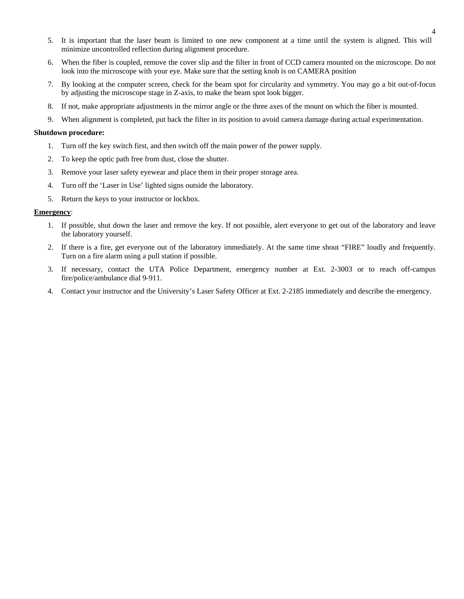- 5. It is important that the laser beam is limited to one new component at a time until the system is aligned. This will minimize uncontrolled reflection during alignment procedure.
- 6. When the fiber is coupled, remove the cover slip and the filter in front of CCD camera mounted on the microscope. Do not look into the microscope with your eye. Make sure that the setting knob is on CAMERA position
- 7. By looking at the computer screen, check for the beam spot for circularity and symmetry. You may go a bit out-of-focus by adjusting the microscope stage in Z-axis, to make the beam spot look bigger.
- 8. If not, make appropriate adjustments in the mirror angle or the three axes of the mount on which the fiber is mounted.
- 9. When alignment is completed, put back the filter in its position to avoid camera damage during actual experimentation.

#### **Shutdown procedure:**

- 1. Turn off the key switch first, and then switch off the main power of the power supply.
- 2. To keep the optic path free from dust, close the shutter.
- 3. Remove your laser safety eyewear and place them in their proper storage area.
- 4. Turn off the 'Laser in Use' lighted signs outside the laboratory.
- 5. Return the keys to your instructor or lockbox.

## **Emergency**:

- 1. If possible, shut down the laser and remove the key. If not possible, alert everyone to get out of the laboratory and leave the laboratory yourself.
- 2. If there is a fire, get everyone out of the laboratory immediately. At the same time shout "FIRE" loudly and frequently. Turn on a fire alarm using a pull station if possible.
- 3. If necessary, contact the UTA Police Department, emergency number at Ext. 2-3003 or to reach off-campus fire/police/ambulance dial 9-911.
- 4. Contact your instructor and the University's Laser Safety Officer at Ext. 2-2185 immediately and describe the emergency.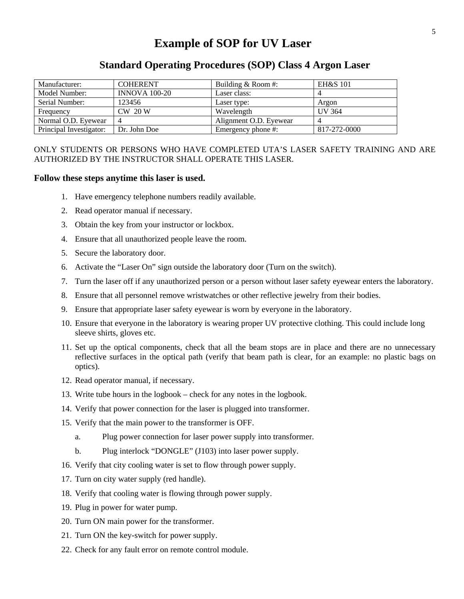## **Example of SOP for UV Laser**

## **Standard Operating Procedures (SOP) Class 4 Argon Laser**

| Manufacturer:           | <b>COHERENT</b>      | Building & Room #:     | <b>EH&amp;S 101</b> |
|-------------------------|----------------------|------------------------|---------------------|
| Model Number:           | <b>INNOVA 100-20</b> | Laser class:           |                     |
| Serial Number:          | 123456               | Laser type:            | Argon               |
| Frequency               | $CW$ 20 W            | Wavelength             | <b>UV 364</b>       |
| Normal O.D. Eyewear     |                      | Alignment O.D. Eyewear |                     |
| Principal Investigator: | Dr. John Doe         | Emergency phone #:     | 817-272-0000        |

## ONLY STUDENTS OR PERSONS WHO HAVE COMPLETED UTA'S LASER SAFETY TRAINING AND ARE AUTHORIZED BY THE INSTRUCTOR SHALL OPERATE THIS LASER.

## **Follow these steps anytime this laser is used.**

- 1. Have emergency telephone numbers readily available.
- 2. Read operator manual if necessary.
- 3. Obtain the key from your instructor or lockbox.
- 4. Ensure that all unauthorized people leave the room.
- 5. Secure the laboratory door.
- 6. Activate the "Laser On" sign outside the laboratory door (Turn on the switch).
- 7. Turn the laser off if any unauthorized person or a person without laser safety eyewear enters the laboratory.
- 8. Ensure that all personnel remove wristwatches or other reflective jewelry from their bodies.
- 9. Ensure that appropriate laser safety eyewear is worn by everyone in the laboratory.
- 10. Ensure that everyone in the laboratory is wearing proper UV protective clothing. This could include long sleeve shirts, gloves etc.
- 11. Set up the optical components, check that all the beam stops are in place and there are no unnecessary reflective surfaces in the optical path (verify that beam path is clear, for an example: no plastic bags on optics).
- 12. Read operator manual, if necessary.
- 13. Write tube hours in the logbook check for any notes in the logbook.
- 14. Verify that power connection for the laser is plugged into transformer.
- 15. Verify that the main power to the transformer is OFF.
	- a. Plug power connection for laser power supply into transformer.
	- b. Plug interlock "DONGLE" (J103) into laser power supply.
- 16. Verify that city cooling water is set to flow through power supply.
- 17. Turn on city water supply (red handle).
- 18. Verify that cooling water is flowing through power supply.
- 19. Plug in power for water pump.
- 20. Turn ON main power for the transformer.
- 21. Turn ON the key-switch for power supply.
- 22. Check for any fault error on remote control module.